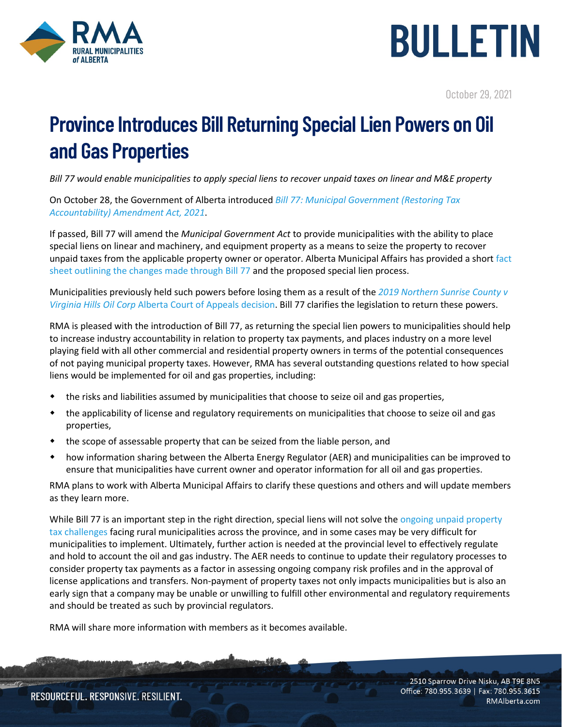



October 29, 2021

## **Province Introduces Bill Returning Special Lien Powers on Oil and Gas Properties**

*Bill 77 would enable municipalities to apply special liens to recover unpaid taxes on linear and M&E property*

On October 28, the Government of Alberta introduced *[Bill 77: Municipal Government \(Restoring Tax](https://www.assembly.ab.ca/assembly-business/bills/bill?billinfoid=11937&from=bills)  [Accountability\) Amendment Act, 2021](https://www.assembly.ab.ca/assembly-business/bills/bill?billinfoid=11937&from=bills)*.

If passed, Bill 77 will amend the *Municipal Government Act* to provide municipalities with the ability to place special liens on linear and machinery, and equipment property as a means to seize the property to recover unpaid taxes from the applicable property owner or operator. Alberta Municipal Affairs has provided a shor[t fact](https://www.alberta.ca/assets/documents/ma-restoring-tax-accountability-fact-sheet.pdf)  [sheet outlining the changes made through Bill 77](https://www.alberta.ca/assets/documents/ma-restoring-tax-accountability-fact-sheet.pdf) and the proposed special lien process.

Municipalities previously held such powers before losing them as a result of the *[2019 Northern Sunrise County v](https://www.torys.com/Our%20Latest%20Thinking/Publications/2019/02/linear-property-tax-claims-are-unsecured-in-alberta/)  Virginia Hills Oil Corp* [Alberta Court of Appeals decision.](https://www.torys.com/Our%20Latest%20Thinking/Publications/2019/02/linear-property-tax-claims-are-unsecured-in-alberta/) Bill 77 clarifies the legislation to return these powers.

RMA is pleased with the introduction of Bill 77, as returning the special lien powers to municipalities should help to increase industry accountability in relation to property tax payments, and places industry on a more level playing field with all other commercial and residential property owners in terms of the potential consequences of not paying municipal property taxes. However, RMA has several outstanding questions related to how special liens would be implemented for oil and gas properties, including:

- the risks and liabilities assumed by municipalities that choose to seize oil and gas properties,
- the applicability of license and regulatory requirements on municipalities that choose to seize oil and gas properties,
- the scope of assessable property that can be seized from the liable person, and
- how information sharing between the Alberta Energy Regulator (AER) and municipalities can be improved to ensure that municipalities have current owner and operator information for all oil and gas properties.

RMA plans to work with Alberta Municipal Affairs to clarify these questions and others and will update members as they learn more.

While Bill 77 is an important step in the right direction, special liens will not solve the ongoing unpaid property [tax challenges](https://rmalberta.com/news/rural-municipalities-continue-to-struggle-as-unpaid-tax-amounts-owed-by-oil-and-gas-companies-increase/) facing rural municipalities across the province, and in some cases may be very difficult for municipalities to implement. Ultimately, further action is needed at the provincial level to effectively regulate and hold to account the oil and gas industry. The AER needs to continue to update their regulatory processes to consider property tax payments as a factor in assessing ongoing company risk profiles and in the approval of license applications and transfers. Non-payment of property taxes not only impacts municipalities but is also an early sign that a company may be unable or unwilling to fulfill other environmental and regulatory requirements and should be treated as such by provincial regulators.

RMA will share more information with members as it becomes available.

2510 Sparrow Drive Nisku, AB T9E 8N5 Office: 780.955.3639 | Fax: 780.955.3615 RMAlberta.com